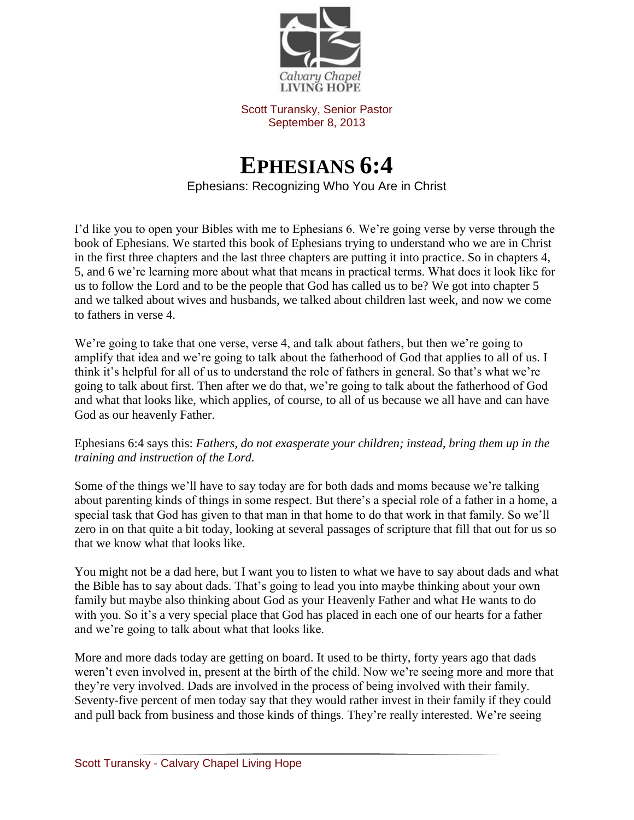

Scott Turansky, Senior Pastor September 8, 2013

## **EPHESIANS 6:4**

Ephesians: Recognizing Who You Are in Christ

I'd like you to open your Bibles with me to Ephesians 6. We're going verse by verse through the book of Ephesians. We started this book of Ephesians trying to understand who we are in Christ in the first three chapters and the last three chapters are putting it into practice. So in chapters 4, 5, and 6 we're learning more about what that means in practical terms. What does it look like for us to follow the Lord and to be the people that God has called us to be? We got into chapter 5 and we talked about wives and husbands, we talked about children last week, and now we come to fathers in verse 4.

We're going to take that one verse, verse 4, and talk about fathers, but then we're going to amplify that idea and we're going to talk about the fatherhood of God that applies to all of us. I think it's helpful for all of us to understand the role of fathers in general. So that's what we're going to talk about first. Then after we do that, we're going to talk about the fatherhood of God and what that looks like, which applies, of course, to all of us because we all have and can have God as our heavenly Father.

## Ephesians 6:4 says this: *Fathers, do not exasperate your children; instead, bring them up in the training and instruction of the Lord.*

Some of the things we'll have to say today are for both dads and moms because we're talking about parenting kinds of things in some respect. But there's a special role of a father in a home, a special task that God has given to that man in that home to do that work in that family. So we'll zero in on that quite a bit today, looking at several passages of scripture that fill that out for us so that we know what that looks like.

You might not be a dad here, but I want you to listen to what we have to say about dads and what the Bible has to say about dads. That's going to lead you into maybe thinking about your own family but maybe also thinking about God as your Heavenly Father and what He wants to do with you. So it's a very special place that God has placed in each one of our hearts for a father and we're going to talk about what that looks like.

More and more dads today are getting on board. It used to be thirty, forty years ago that dads weren't even involved in, present at the birth of the child. Now we're seeing more and more that they're very involved. Dads are involved in the process of being involved with their family. Seventy-five percent of men today say that they would rather invest in their family if they could and pull back from business and those kinds of things. They're really interested. We're seeing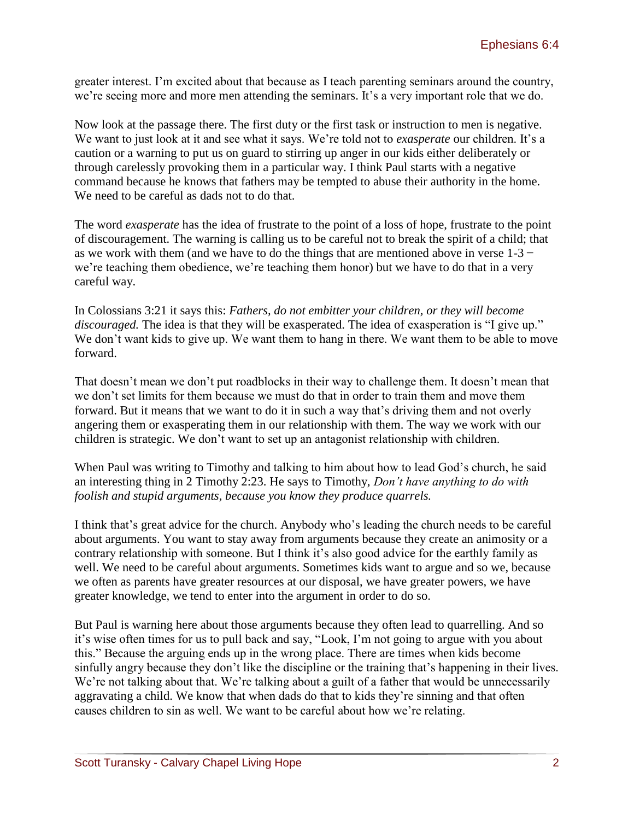greater interest. I'm excited about that because as I teach parenting seminars around the country, we're seeing more and more men attending the seminars. It's a very important role that we do.

Now look at the passage there. The first duty or the first task or instruction to men is negative. We want to just look at it and see what it says. We're told not to *exasperate* our children. It's a caution or a warning to put us on guard to stirring up anger in our kids either deliberately or through carelessly provoking them in a particular way. I think Paul starts with a negative command because he knows that fathers may be tempted to abuse their authority in the home. We need to be careful as dads not to do that.

The word *exasperate* has the idea of frustrate to the point of a loss of hope, frustrate to the point of discouragement. The warning is calling us to be careful not to break the spirit of a child; that as we work with them (and we have to do the things that are mentioned above in verse  $1-3$  – we're teaching them obedience, we're teaching them honor) but we have to do that in a very careful way.

In Colossians 3:21 it says this: *Fathers, do not embitter your children, or they will become discouraged.* The idea is that they will be exasperated. The idea of exasperation is "I give up." We don't want kids to give up. We want them to hang in there. We want them to be able to move forward.

That doesn't mean we don't put roadblocks in their way to challenge them. It doesn't mean that we don't set limits for them because we must do that in order to train them and move them forward. But it means that we want to do it in such a way that's driving them and not overly angering them or exasperating them in our relationship with them. The way we work with our children is strategic. We don't want to set up an antagonist relationship with children.

When Paul was writing to Timothy and talking to him about how to lead God's church, he said an interesting thing in 2 Timothy 2:23. He says to Timothy, *Don't have anything to do with foolish and stupid arguments, because you know they produce quarrels.* 

I think that's great advice for the church. Anybody who's leading the church needs to be careful about arguments. You want to stay away from arguments because they create an animosity or a contrary relationship with someone. But I think it's also good advice for the earthly family as well. We need to be careful about arguments. Sometimes kids want to argue and so we, because we often as parents have greater resources at our disposal, we have greater powers, we have greater knowledge, we tend to enter into the argument in order to do so.

But Paul is warning here about those arguments because they often lead to quarrelling. And so it's wise often times for us to pull back and say, "Look, I'm not going to argue with you about this." Because the arguing ends up in the wrong place. There are times when kids become sinfully angry because they don't like the discipline or the training that's happening in their lives. We're not talking about that. We're talking about a guilt of a father that would be unnecessarily aggravating a child. We know that when dads do that to kids they're sinning and that often causes children to sin as well. We want to be careful about how we're relating.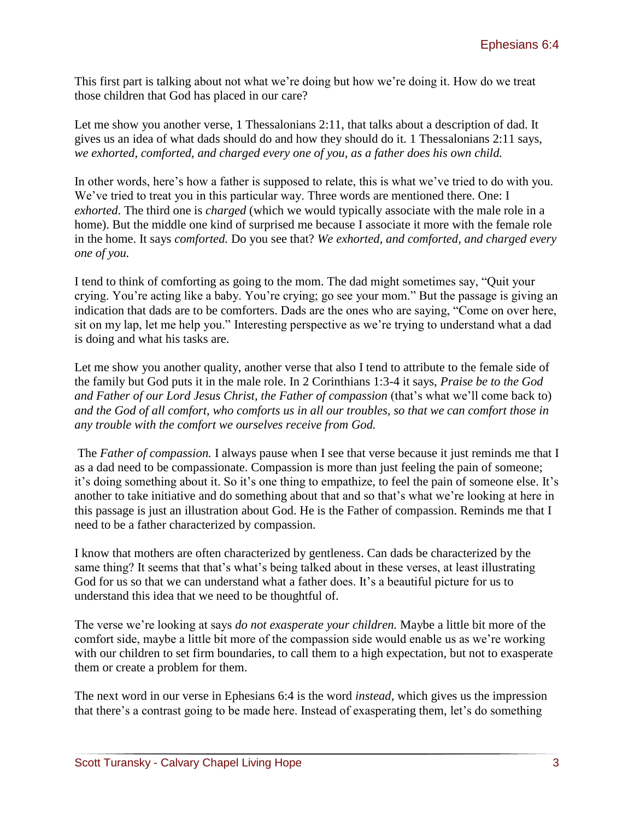This first part is talking about not what we're doing but how we're doing it. How do we treat those children that God has placed in our care?

Let me show you another verse, 1 Thessalonians 2:11, that talks about a description of dad. It gives us an idea of what dads should do and how they should do it. 1 Thessalonians 2:11 says, *we exhorted, comforted, and charged every one of you, as a father does his own child.* 

In other words, here's how a father is supposed to relate, this is what we've tried to do with you. We've tried to treat you in this particular way. Three words are mentioned there. One: I *exhorted*. The third one is *charged* (which we would typically associate with the male role in a home). But the middle one kind of surprised me because I associate it more with the female role in the home. It says *comforted.* Do you see that? *We exhorted, and comforted, and charged every one of you.* 

I tend to think of comforting as going to the mom. The dad might sometimes say, "Quit your crying. You're acting like a baby. You're crying; go see your mom." But the passage is giving an indication that dads are to be comforters. Dads are the ones who are saying, "Come on over here, sit on my lap, let me help you." Interesting perspective as we're trying to understand what a dad is doing and what his tasks are.

Let me show you another quality, another verse that also I tend to attribute to the female side of the family but God puts it in the male role. In 2 Corinthians 1:3-4 it says, *Praise be to the God and Father of our Lord Jesus Christ, the Father of compassion (that's what we'll come back to) and the God of all comfort, who comforts us in all our troubles, so that we can comfort those in any trouble with the comfort we ourselves receive from God.*

The *Father of compassion.* I always pause when I see that verse because it just reminds me that I as a dad need to be compassionate. Compassion is more than just feeling the pain of someone; it's doing something about it. So it's one thing to empathize, to feel the pain of someone else. It's another to take initiative and do something about that and so that's what we're looking at here in this passage is just an illustration about God. He is the Father of compassion. Reminds me that I need to be a father characterized by compassion.

I know that mothers are often characterized by gentleness. Can dads be characterized by the same thing? It seems that that's what's being talked about in these verses, at least illustrating God for us so that we can understand what a father does. It's a beautiful picture for us to understand this idea that we need to be thoughtful of.

The verse we're looking at says *do not exasperate your children.* Maybe a little bit more of the comfort side, maybe a little bit more of the compassion side would enable us as we're working with our children to set firm boundaries, to call them to a high expectation, but not to exasperate them or create a problem for them.

The next word in our verse in Ephesians 6:4 is the word *instead,* which gives us the impression that there's a contrast going to be made here. Instead of exasperating them, let's do something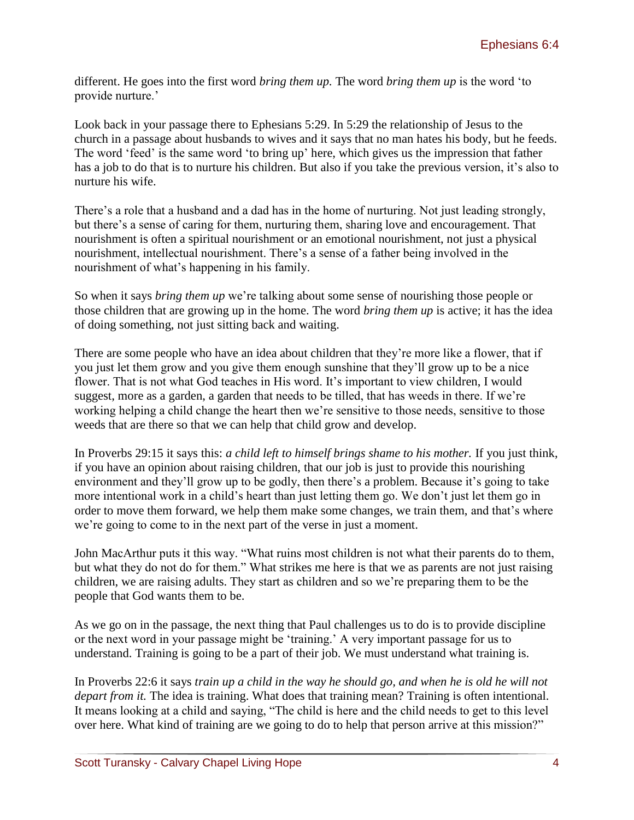different. He goes into the first word *bring them up.* The word *bring them up* is the word 'to provide nurture.'

Look back in your passage there to Ephesians 5:29. In 5:29 the relationship of Jesus to the church in a passage about husbands to wives and it says that no man hates his body, but he feeds. The word 'feed' is the same word 'to bring up' here, which gives us the impression that father has a job to do that is to nurture his children. But also if you take the previous version, it's also to nurture his wife.

There's a role that a husband and a dad has in the home of nurturing. Not just leading strongly, but there's a sense of caring for them, nurturing them, sharing love and encouragement. That nourishment is often a spiritual nourishment or an emotional nourishment, not just a physical nourishment, intellectual nourishment. There's a sense of a father being involved in the nourishment of what's happening in his family.

So when it says *bring them up* we're talking about some sense of nourishing those people or those children that are growing up in the home. The word *bring them up* is active; it has the idea of doing something, not just sitting back and waiting.

There are some people who have an idea about children that they're more like a flower, that if you just let them grow and you give them enough sunshine that they'll grow up to be a nice flower. That is not what God teaches in His word. It's important to view children, I would suggest, more as a garden, a garden that needs to be tilled, that has weeds in there. If we're working helping a child change the heart then we're sensitive to those needs, sensitive to those weeds that are there so that we can help that child grow and develop.

In Proverbs 29:15 it says this: *a child left to himself brings shame to his mother.* If you just think, if you have an opinion about raising children, that our job is just to provide this nourishing environment and they'll grow up to be godly, then there's a problem. Because it's going to take more intentional work in a child's heart than just letting them go. We don't just let them go in order to move them forward, we help them make some changes, we train them, and that's where we're going to come to in the next part of the verse in just a moment.

John MacArthur puts it this way. "What ruins most children is not what their parents do to them, but what they do not do for them." What strikes me here is that we as parents are not just raising children, we are raising adults. They start as children and so we're preparing them to be the people that God wants them to be.

As we go on in the passage, the next thing that Paul challenges us to do is to provide discipline or the next word in your passage might be 'training.' A very important passage for us to understand. Training is going to be a part of their job. We must understand what training is.

In Proverbs 22:6 it says *train up a child in the way he should go, and when he is old he will not depart from it.* The idea is training. What does that training mean? Training is often intentional. It means looking at a child and saying, "The child is here and the child needs to get to this level over here. What kind of training are we going to do to help that person arrive at this mission?"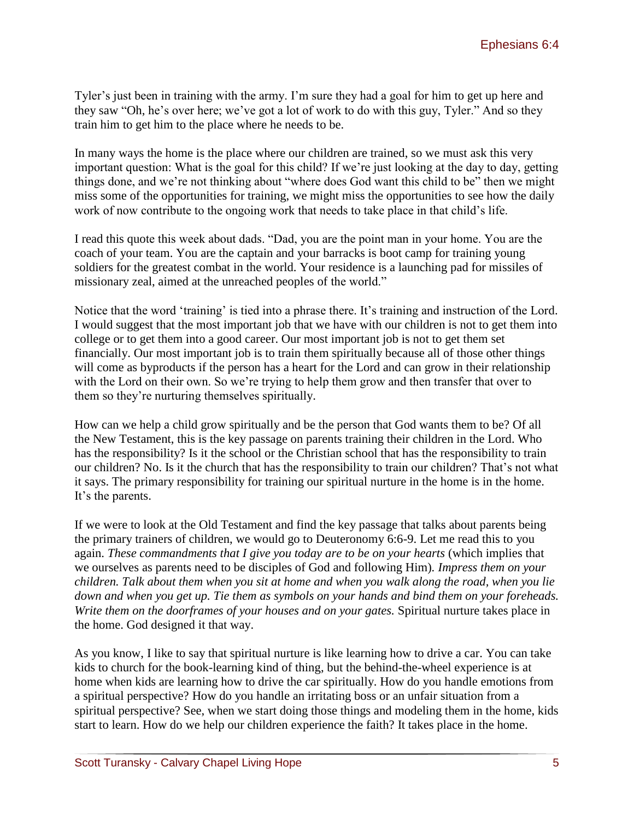Tyler's just been in training with the army. I'm sure they had a goal for him to get up here and they saw "Oh, he's over here; we've got a lot of work to do with this guy, Tyler." And so they train him to get him to the place where he needs to be.

In many ways the home is the place where our children are trained, so we must ask this very important question: What is the goal for this child? If we're just looking at the day to day, getting things done, and we're not thinking about "where does God want this child to be" then we might miss some of the opportunities for training, we might miss the opportunities to see how the daily work of now contribute to the ongoing work that needs to take place in that child's life.

I read this quote this week about dads. "Dad, you are the point man in your home. You are the coach of your team. You are the captain and your barracks is boot camp for training young soldiers for the greatest combat in the world. Your residence is a launching pad for missiles of missionary zeal, aimed at the unreached peoples of the world."

Notice that the word 'training' is tied into a phrase there. It's training and instruction of the Lord. I would suggest that the most important job that we have with our children is not to get them into college or to get them into a good career. Our most important job is not to get them set financially. Our most important job is to train them spiritually because all of those other things will come as byproducts if the person has a heart for the Lord and can grow in their relationship with the Lord on their own. So we're trying to help them grow and then transfer that over to them so they're nurturing themselves spiritually.

How can we help a child grow spiritually and be the person that God wants them to be? Of all the New Testament, this is the key passage on parents training their children in the Lord. Who has the responsibility? Is it the school or the Christian school that has the responsibility to train our children? No. Is it the church that has the responsibility to train our children? That's not what it says. The primary responsibility for training our spiritual nurture in the home is in the home. It's the parents.

If we were to look at the Old Testament and find the key passage that talks about parents being the primary trainers of children, we would go to Deuteronomy 6:6-9. Let me read this to you again. *These commandments that I give you today are to be on your hearts* (which implies that we ourselves as parents need to be disciples of God and following Him)*. Impress them on your children. Talk about them when you sit at home and when you walk along the road, when you lie down and when you get up. Tie them as symbols on your hands and bind them on your foreheads. Write them on the doorframes of your houses and on your gates.* Spiritual nurture takes place in the home. God designed it that way.

As you know, I like to say that spiritual nurture is like learning how to drive a car. You can take kids to church for the book-learning kind of thing, but the behind-the-wheel experience is at home when kids are learning how to drive the car spiritually. How do you handle emotions from a spiritual perspective? How do you handle an irritating boss or an unfair situation from a spiritual perspective? See, when we start doing those things and modeling them in the home, kids start to learn. How do we help our children experience the faith? It takes place in the home.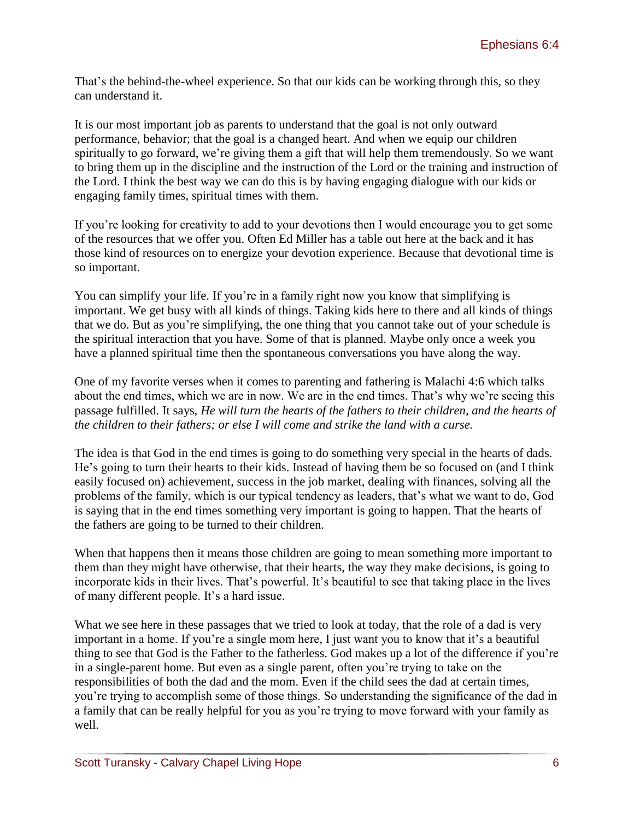That's the behind-the-wheel experience. So that our kids can be working through this, so they can understand it.

It is our most important job as parents to understand that the goal is not only outward performance, behavior; that the goal is a changed heart. And when we equip our children spiritually to go forward, we're giving them a gift that will help them tremendously. So we want to bring them up in the discipline and the instruction of the Lord or the training and instruction of the Lord. I think the best way we can do this is by having engaging dialogue with our kids or engaging family times, spiritual times with them.

If you're looking for creativity to add to your devotions then I would encourage you to get some of the resources that we offer you. Often Ed Miller has a table out here at the back and it has those kind of resources on to energize your devotion experience. Because that devotional time is so important.

You can simplify your life. If you're in a family right now you know that simplifying is important. We get busy with all kinds of things. Taking kids here to there and all kinds of things that we do. But as you're simplifying, the one thing that you cannot take out of your schedule is the spiritual interaction that you have. Some of that is planned. Maybe only once a week you have a planned spiritual time then the spontaneous conversations you have along the way.

One of my favorite verses when it comes to parenting and fathering is Malachi 4:6 which talks about the end times, which we are in now. We are in the end times. That's why we're seeing this passage fulfilled. It says, *He will turn the hearts of the fathers to their children, and the hearts of the children to their fathers; or else I will come and strike the land with a curse.* 

The idea is that God in the end times is going to do something very special in the hearts of dads. He's going to turn their hearts to their kids. Instead of having them be so focused on (and I think easily focused on) achievement, success in the job market, dealing with finances, solving all the problems of the family, which is our typical tendency as leaders, that's what we want to do, God is saying that in the end times something very important is going to happen. That the hearts of the fathers are going to be turned to their children.

When that happens then it means those children are going to mean something more important to them than they might have otherwise, that their hearts, the way they make decisions, is going to incorporate kids in their lives. That's powerful. It's beautiful to see that taking place in the lives of many different people. It's a hard issue.

What we see here in these passages that we tried to look at today, that the role of a dad is very important in a home. If you're a single mom here, I just want you to know that it's a beautiful thing to see that God is the Father to the fatherless. God makes up a lot of the difference if you're in a single-parent home. But even as a single parent, often you're trying to take on the responsibilities of both the dad and the mom. Even if the child sees the dad at certain times, you're trying to accomplish some of those things. So understanding the significance of the dad in a family that can be really helpful for you as you're trying to move forward with your family as well.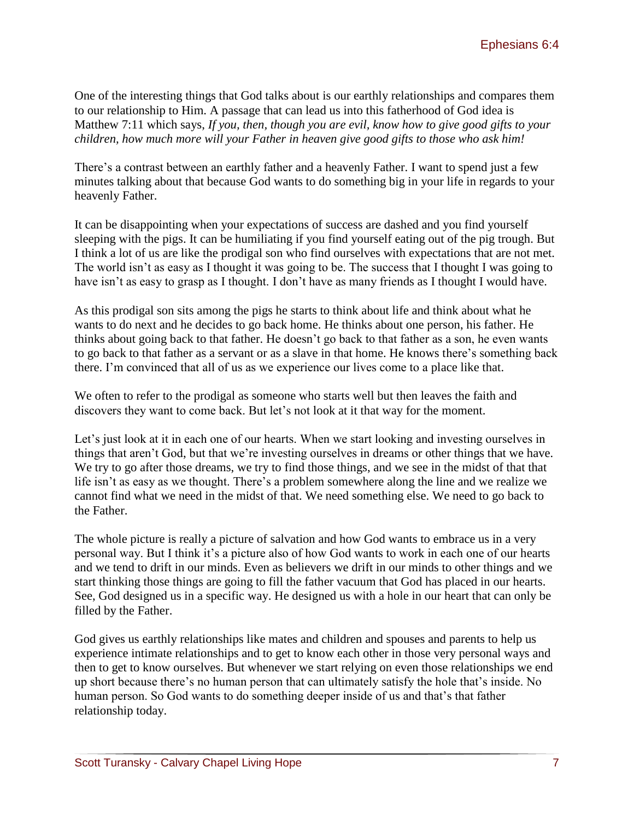One of the interesting things that God talks about is our earthly relationships and compares them to our relationship to Him. A passage that can lead us into this fatherhood of God idea is Matthew 7:11 which says, *If you, then, though you are evil, know how to give good gifts to your children, how much more will your Father in heaven give good gifts to those who ask him!* 

There's a contrast between an earthly father and a heavenly Father. I want to spend just a few minutes talking about that because God wants to do something big in your life in regards to your heavenly Father.

It can be disappointing when your expectations of success are dashed and you find yourself sleeping with the pigs. It can be humiliating if you find yourself eating out of the pig trough. But I think a lot of us are like the prodigal son who find ourselves with expectations that are not met. The world isn't as easy as I thought it was going to be. The success that I thought I was going to have isn't as easy to grasp as I thought. I don't have as many friends as I thought I would have.

As this prodigal son sits among the pigs he starts to think about life and think about what he wants to do next and he decides to go back home. He thinks about one person, his father. He thinks about going back to that father. He doesn't go back to that father as a son, he even wants to go back to that father as a servant or as a slave in that home. He knows there's something back there. I'm convinced that all of us as we experience our lives come to a place like that.

We often to refer to the prodigal as someone who starts well but then leaves the faith and discovers they want to come back. But let's not look at it that way for the moment.

Let's just look at it in each one of our hearts. When we start looking and investing ourselves in things that aren't God, but that we're investing ourselves in dreams or other things that we have. We try to go after those dreams, we try to find those things, and we see in the midst of that that life isn't as easy as we thought. There's a problem somewhere along the line and we realize we cannot find what we need in the midst of that. We need something else. We need to go back to the Father.

The whole picture is really a picture of salvation and how God wants to embrace us in a very personal way. But I think it's a picture also of how God wants to work in each one of our hearts and we tend to drift in our minds. Even as believers we drift in our minds to other things and we start thinking those things are going to fill the father vacuum that God has placed in our hearts. See, God designed us in a specific way. He designed us with a hole in our heart that can only be filled by the Father.

God gives us earthly relationships like mates and children and spouses and parents to help us experience intimate relationships and to get to know each other in those very personal ways and then to get to know ourselves. But whenever we start relying on even those relationships we end up short because there's no human person that can ultimately satisfy the hole that's inside. No human person. So God wants to do something deeper inside of us and that's that father relationship today.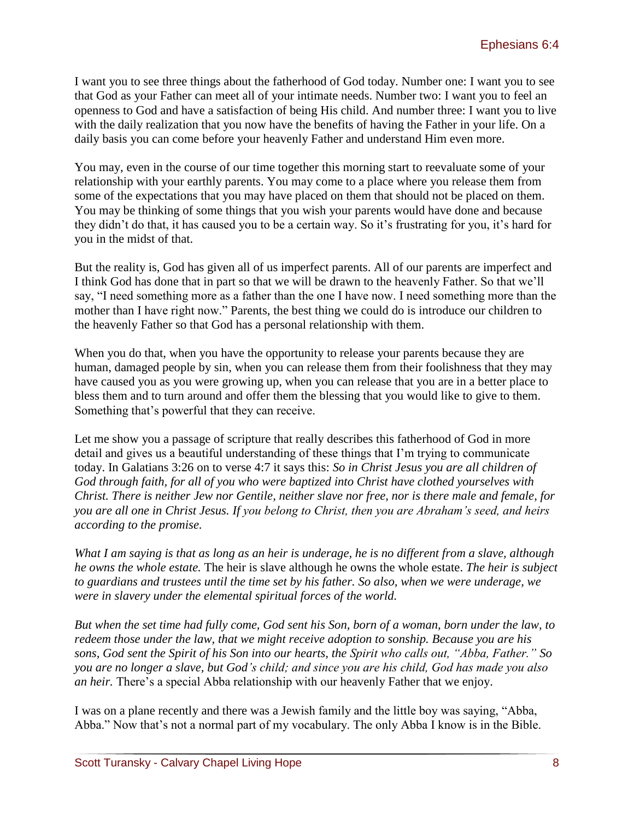I want you to see three things about the fatherhood of God today. Number one: I want you to see that God as your Father can meet all of your intimate needs. Number two: I want you to feel an openness to God and have a satisfaction of being His child. And number three: I want you to live with the daily realization that you now have the benefits of having the Father in your life. On a daily basis you can come before your heavenly Father and understand Him even more.

You may, even in the course of our time together this morning start to reevaluate some of your relationship with your earthly parents. You may come to a place where you release them from some of the expectations that you may have placed on them that should not be placed on them. You may be thinking of some things that you wish your parents would have done and because they didn't do that, it has caused you to be a certain way. So it's frustrating for you, it's hard for you in the midst of that.

But the reality is, God has given all of us imperfect parents. All of our parents are imperfect and I think God has done that in part so that we will be drawn to the heavenly Father. So that we'll say, "I need something more as a father than the one I have now. I need something more than the mother than I have right now." Parents, the best thing we could do is introduce our children to the heavenly Father so that God has a personal relationship with them.

When you do that, when you have the opportunity to release your parents because they are human, damaged people by sin, when you can release them from their foolishness that they may have caused you as you were growing up, when you can release that you are in a better place to bless them and to turn around and offer them the blessing that you would like to give to them. Something that's powerful that they can receive.

Let me show you a passage of scripture that really describes this fatherhood of God in more detail and gives us a beautiful understanding of these things that I'm trying to communicate today. In Galatians 3:26 on to verse 4:7 it says this: *So in Christ Jesus you are all children of God through faith, for all of you who were baptized into Christ have clothed yourselves with Christ. There is neither Jew nor Gentile, neither slave nor free, nor is there male and female, for you are all one in Christ Jesus. If you belong to Christ, then you are Abraham's seed, and heirs according to the promise.*

*What I am saying is that as long as an heir is underage, he is no different from a slave, although he owns the whole estate.* The heir is slave although he owns the whole estate. *The heir is subject to guardians and trustees until the time set by his father. So also, when we were underage, we were in slavery under the elemental spiritual forces of the world.* 

*But when the set time had fully come, God sent his Son, born of a woman, born under the law, to redeem those under the law, that we might receive adoption to sonship. Because you are his sons, God sent the Spirit of his Son into our hearts, the Spirit who calls out, "Abba, Father." So you are no longer a slave, but God's child; and since you are his child, God has made you also an heir.* There's a special Abba relationship with our heavenly Father that we enjoy.

I was on a plane recently and there was a Jewish family and the little boy was saying, "Abba, Abba." Now that's not a normal part of my vocabulary. The only Abba I know is in the Bible.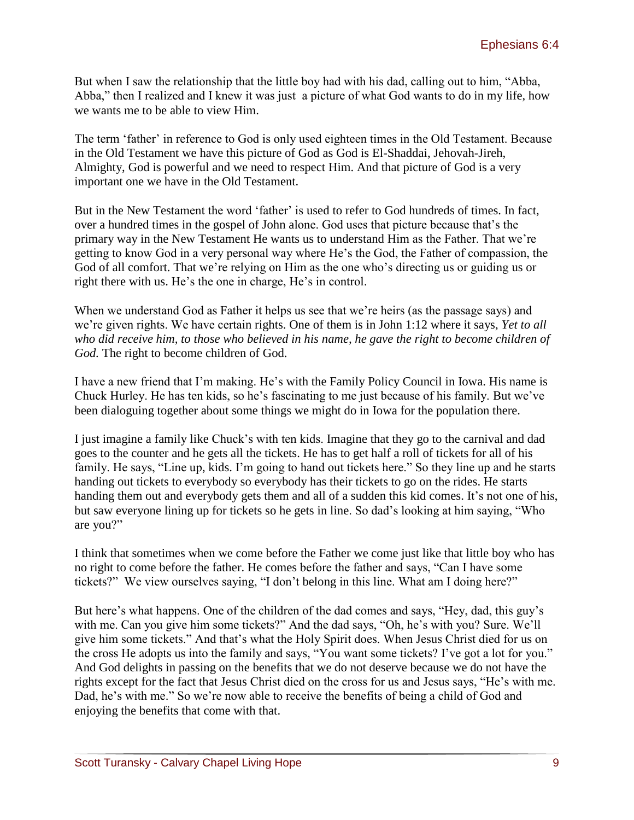But when I saw the relationship that the little boy had with his dad, calling out to him, "Abba, Abba," then I realized and I knew it was just a picture of what God wants to do in my life, how we wants me to be able to view Him.

The term 'father' in reference to God is only used eighteen times in the Old Testament. Because in the Old Testament we have this picture of God as God is El-Shaddai, Jehovah-Jireh, Almighty, God is powerful and we need to respect Him. And that picture of God is a very important one we have in the Old Testament.

But in the New Testament the word 'father' is used to refer to God hundreds of times. In fact, over a hundred times in the gospel of John alone. God uses that picture because that's the primary way in the New Testament He wants us to understand Him as the Father. That we're getting to know God in a very personal way where He's the God, the Father of compassion, the God of all comfort. That we're relying on Him as the one who's directing us or guiding us or right there with us. He's the one in charge, He's in control.

When we understand God as Father it helps us see that we're heirs (as the passage says) and we're given rights. We have certain rights. One of them is in John 1:12 where it says, *Yet to all who did receive him, to those who believed in his name, he gave the right to become children of God.* The right to become children of God.

I have a new friend that I'm making. He's with the Family Policy Council in Iowa. His name is Chuck Hurley. He has ten kids, so he's fascinating to me just because of his family. But we've been dialoguing together about some things we might do in Iowa for the population there.

I just imagine a family like Chuck's with ten kids. Imagine that they go to the carnival and dad goes to the counter and he gets all the tickets. He has to get half a roll of tickets for all of his family. He says, "Line up, kids. I'm going to hand out tickets here." So they line up and he starts handing out tickets to everybody so everybody has their tickets to go on the rides. He starts handing them out and everybody gets them and all of a sudden this kid comes. It's not one of his, but saw everyone lining up for tickets so he gets in line. So dad's looking at him saying, "Who are you?"

I think that sometimes when we come before the Father we come just like that little boy who has no right to come before the father. He comes before the father and says, "Can I have some tickets?" We view ourselves saying, "I don't belong in this line. What am I doing here?"

But here's what happens. One of the children of the dad comes and says, "Hey, dad, this guy's with me. Can you give him some tickets?" And the dad says, "Oh, he's with you? Sure. We'll give him some tickets." And that's what the Holy Spirit does. When Jesus Christ died for us on the cross He adopts us into the family and says, "You want some tickets? I've got a lot for you." And God delights in passing on the benefits that we do not deserve because we do not have the rights except for the fact that Jesus Christ died on the cross for us and Jesus says, "He's with me. Dad, he's with me." So we're now able to receive the benefits of being a child of God and enjoying the benefits that come with that.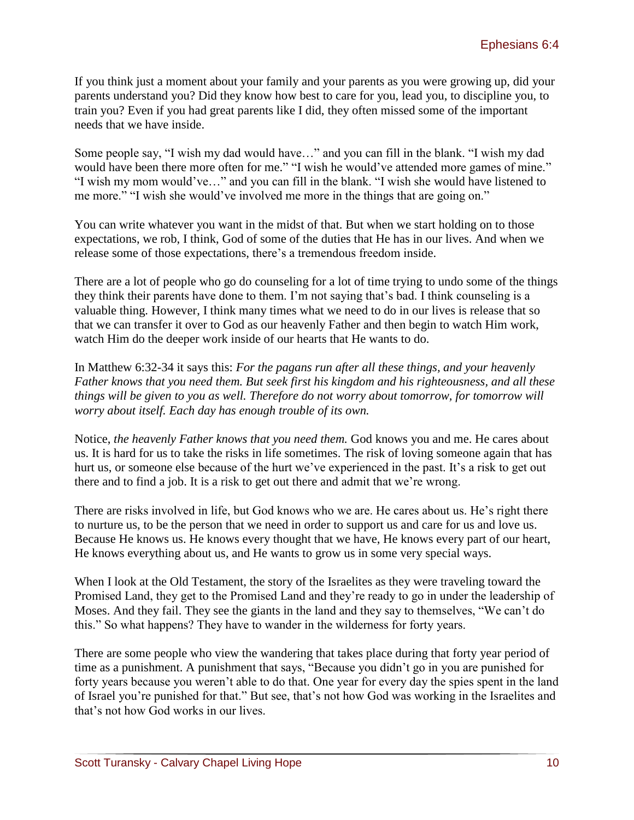If you think just a moment about your family and your parents as you were growing up, did your parents understand you? Did they know how best to care for you, lead you, to discipline you, to train you? Even if you had great parents like I did, they often missed some of the important needs that we have inside.

Some people say, "I wish my dad would have…" and you can fill in the blank. "I wish my dad would have been there more often for me." "I wish he would've attended more games of mine." "I wish my mom would've…" and you can fill in the blank. "I wish she would have listened to me more." "I wish she would've involved me more in the things that are going on."

You can write whatever you want in the midst of that. But when we start holding on to those expectations, we rob, I think, God of some of the duties that He has in our lives. And when we release some of those expectations, there's a tremendous freedom inside.

There are a lot of people who go do counseling for a lot of time trying to undo some of the things they think their parents have done to them. I'm not saying that's bad. I think counseling is a valuable thing. However, I think many times what we need to do in our lives is release that so that we can transfer it over to God as our heavenly Father and then begin to watch Him work, watch Him do the deeper work inside of our hearts that He wants to do.

In Matthew 6:32-34 it says this: *For the pagans run after all these things, and your heavenly Father knows that you need them. But seek first his kingdom and his righteousness, and all these things will be given to you as well. Therefore do not worry about tomorrow, for tomorrow will worry about itself. Each day has enough trouble of its own.*

Notice, *the heavenly Father knows that you need them.* God knows you and me. He cares about us. It is hard for us to take the risks in life sometimes. The risk of loving someone again that has hurt us, or someone else because of the hurt we've experienced in the past. It's a risk to get out there and to find a job. It is a risk to get out there and admit that we're wrong.

There are risks involved in life, but God knows who we are. He cares about us. He's right there to nurture us, to be the person that we need in order to support us and care for us and love us. Because He knows us. He knows every thought that we have, He knows every part of our heart, He knows everything about us, and He wants to grow us in some very special ways.

When I look at the Old Testament, the story of the Israelites as they were traveling toward the Promised Land, they get to the Promised Land and they're ready to go in under the leadership of Moses. And they fail. They see the giants in the land and they say to themselves, "We can't do this." So what happens? They have to wander in the wilderness for forty years.

There are some people who view the wandering that takes place during that forty year period of time as a punishment. A punishment that says, "Because you didn't go in you are punished for forty years because you weren't able to do that. One year for every day the spies spent in the land of Israel you're punished for that." But see, that's not how God was working in the Israelites and that's not how God works in our lives.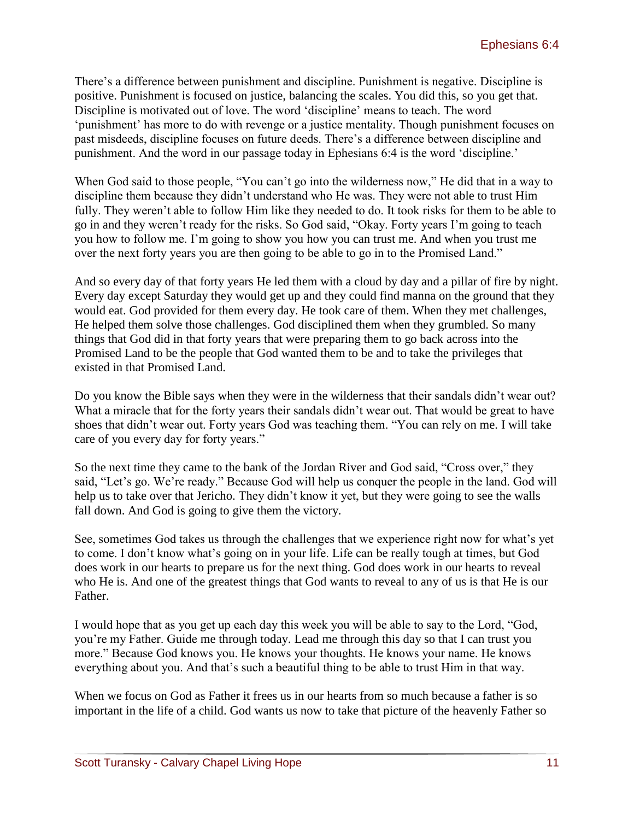There's a difference between punishment and discipline. Punishment is negative. Discipline is positive. Punishment is focused on justice, balancing the scales. You did this, so you get that. Discipline is motivated out of love. The word 'discipline' means to teach. The word 'punishment' has more to do with revenge or a justice mentality. Though punishment focuses on past misdeeds, discipline focuses on future deeds. There's a difference between discipline and punishment. And the word in our passage today in Ephesians 6:4 is the word 'discipline.'

When God said to those people, "You can't go into the wilderness now," He did that in a way to discipline them because they didn't understand who He was. They were not able to trust Him fully. They weren't able to follow Him like they needed to do. It took risks for them to be able to go in and they weren't ready for the risks. So God said, "Okay. Forty years I'm going to teach you how to follow me. I'm going to show you how you can trust me. And when you trust me over the next forty years you are then going to be able to go in to the Promised Land."

And so every day of that forty years He led them with a cloud by day and a pillar of fire by night. Every day except Saturday they would get up and they could find manna on the ground that they would eat. God provided for them every day. He took care of them. When they met challenges, He helped them solve those challenges. God disciplined them when they grumbled. So many things that God did in that forty years that were preparing them to go back across into the Promised Land to be the people that God wanted them to be and to take the privileges that existed in that Promised Land.

Do you know the Bible says when they were in the wilderness that their sandals didn't wear out? What a miracle that for the forty years their sandals didn't wear out. That would be great to have shoes that didn't wear out. Forty years God was teaching them. "You can rely on me. I will take care of you every day for forty years."

So the next time they came to the bank of the Jordan River and God said, "Cross over," they said, "Let's go. We're ready." Because God will help us conquer the people in the land. God will help us to take over that Jericho. They didn't know it yet, but they were going to see the walls fall down. And God is going to give them the victory.

See, sometimes God takes us through the challenges that we experience right now for what's yet to come. I don't know what's going on in your life. Life can be really tough at times, but God does work in our hearts to prepare us for the next thing. God does work in our hearts to reveal who He is. And one of the greatest things that God wants to reveal to any of us is that He is our Father.

I would hope that as you get up each day this week you will be able to say to the Lord, "God, you're my Father. Guide me through today. Lead me through this day so that I can trust you more." Because God knows you. He knows your thoughts. He knows your name. He knows everything about you. And that's such a beautiful thing to be able to trust Him in that way.

When we focus on God as Father it frees us in our hearts from so much because a father is so important in the life of a child. God wants us now to take that picture of the heavenly Father so